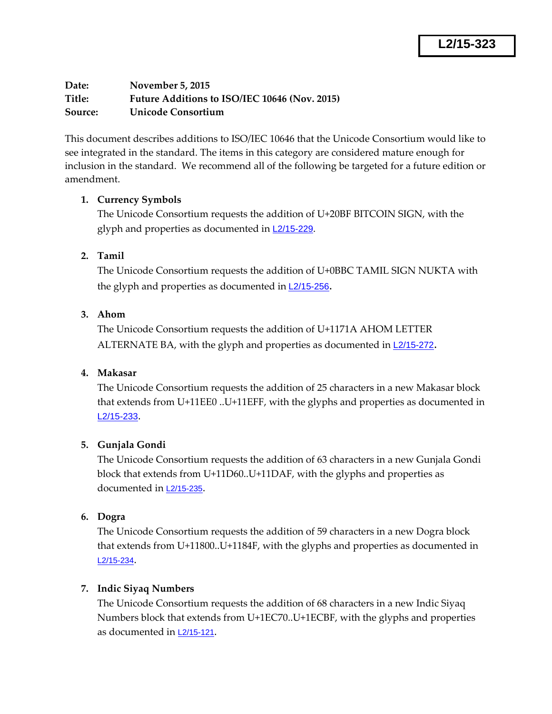**Date: November 5, 2015 Title: Future Additions to ISO/IEC 10646 (Nov. 2015) Source: Unicode Consortium**

This document describes additions to ISO/IEC 10646 that the Unicode Consortium would like to see integrated in the standard. The items in this category are considered mature enough for inclusion in the standard. We recommend all of the following be targeted for a future edition or amendment.

# **1. Currency Symbols**

The Unicode Consortium requests the addition of U+20BF BITCOIN SIGN, with the glyph and properties as documented in L2/15-229.

# **2. Tamil**

The Unicode Consortium requests the addition of U+0BBC TAMIL SIGN NUKTA with the glyph and properties as documented in **L2/15-256**.

## **3. Ahom**

The Unicode Consortium requests the addition of U+1171A AHOM LETTER ALTERNATE BA, with the glyph and properties as documented in L2/15-272.

## **4. Makasar**

The Unicode Consortium requests the addition of 25 characters in a new Makasar block that extends from U+11EE0 ..U+11EFF, with the glyphs and properties as documented in L2/15-233.

## **5. Gunjala Gondi**

The Unicode Consortium requests the addition of 63 characters in a new Gunjala Gondi block that extends from U+11D60..U+11DAF, with the glyphs and properties as documented in L2/15-235.

## **6. Dogra**

The Unicode Consortium requests the addition of 59 characters in a new Dogra block that extends from U+11800..U+1184F, with the glyphs and properties as documented in L2/15-234.

## **7. Indic Siyaq Numbers**

The Unicode Consortium requests the addition of 68 characters in a new Indic Siyaq Numbers block that extends from U+1EC70..U+1ECBF, with the glyphs and properties as documented in L2/15-121.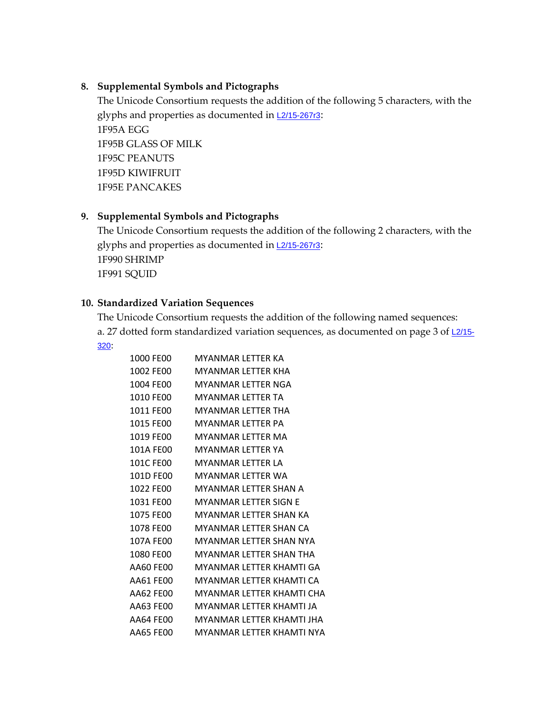#### **8. Supplemental Symbols and Pictographs**

The Unicode Consortium requests the addition of the following 5 characters, with the glyphs and properties as documented in  $L2/15-267r3$ : 1F95A EGG 1F95B GLASS OF MILK 1F95C PEANUTS 1F95D KIWIFRUIT 1F95E PANCAKES

#### **9. Supplemental Symbols and Pictographs**

The Unicode Consortium requests the addition of the following 2 characters, with the glyphs and properties as documented in  $L2/15-267r3$ : 1F990 SHRIMP 1F991 SQUID

#### **10. Standardized Variation Sequences**

The Unicode Consortium requests the addition of the following named sequences: a. 27 dotted form standardized variation sequences, as documented on page 3 of  $\frac{12}{15}$ -320:

| 1000 FE00 | MYANMAR LETTER KA         |
|-----------|---------------------------|
| 1002 FE00 | MYANMAR LETTER KHA        |
| 1004 FE00 | MYANMAR LFTTFR NGA        |
| 1010 FE00 | MYANMAR LFTTFR TA         |
| 1011 FE00 | MYANMAR LFTTFR THA        |
| 1015 FE00 | MYANMAR LFTTFR PA         |
| 1019 FE00 | MYANMAR LFTTFR MA         |
| 101A FE00 | MYANMAR LFTTFR YA         |
| 101C FE00 | MYANMAR LFTTFR LA         |
| 101D FE00 | MYANMAR LFTTFR WA         |
| 1022 FE00 | MYANMAR LFTTFR SHAN A     |
| 1031 FE00 | MYANMAR LETTER SIGN E     |
| 1075 FE00 | MYANMAR LFTTFR SHAN KA    |
| 1078 FE00 | MYANMAR LFTTFR SHAN CA    |
| 107A FE00 | MYANMAR LFTTFR SHAN NYA   |
| 1080 FE00 | MYANMAR LFTTFR SHAN THA   |
| AA60 FE00 | MYANMAR LETTER KHAMTI GA  |
| AA61 FE00 | MYANMAR LFTTFR KHAMTI CA  |
| AA62 FE00 | MYANMAR LFTTFR KHAMTI CHA |
| AA63 FE00 | MYANMAR LFTTFR KHAMTI JA  |
| AA64 FE00 | MYANMAR LFTTFR KHAMTI JHA |
| AA65 FE00 | MYANMAR LETTER KHAMTI NYA |